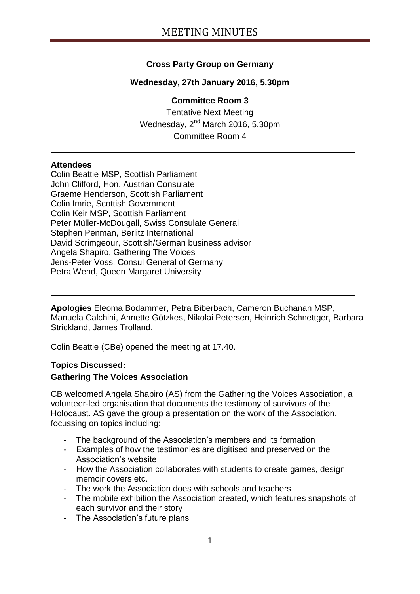# **Cross Party Group on Germany**

## **Wednesday, 27th January 2016, 5.30pm**

#### **Committee Room 3**

Tentative Next Meeting Wednesday, 2<sup>nd</sup> March 2016, 5.30pm Committee Room 4

#### **Attendees**

Colin Beattie MSP, Scottish Parliament John Clifford, Hon. Austrian Consulate Graeme Henderson, Scottish Parliament Colin Imrie, Scottish Government Colin Keir MSP, Scottish Parliament Peter Müller-McDougall, Swiss Consulate General Stephen Penman, Berlitz International David Scrimgeour, Scottish/German business advisor Angela Shapiro, Gathering The Voices Jens-Peter Voss, Consul General of Germany Petra Wend, Queen Margaret University

**Apologies** Eleoma Bodammer, Petra Biberbach, Cameron Buchanan MSP, Manuela Calchini, Annette Götzkes, Nikolai Petersen, Heinrich Schnettger, Barbara Strickland, James Trolland.

Colin Beattie (CBe) opened the meeting at 17.40.

#### **Topics Discussed:**

### **Gathering The Voices Association**

CB welcomed Angela Shapiro (AS) from the Gathering the Voices Association, a volunteer-led organisation that documents the testimony of survivors of the Holocaust. AS gave the group a presentation on the work of the Association, focussing on topics including:

- The background of the Association's members and its formation
- Examples of how the testimonies are digitised and preserved on the Association's website
- How the Association collaborates with students to create games, design memoir covers etc.
- The work the Association does with schools and teachers
- The mobile exhibition the Association created, which features snapshots of each survivor and their story
- The Association's future plans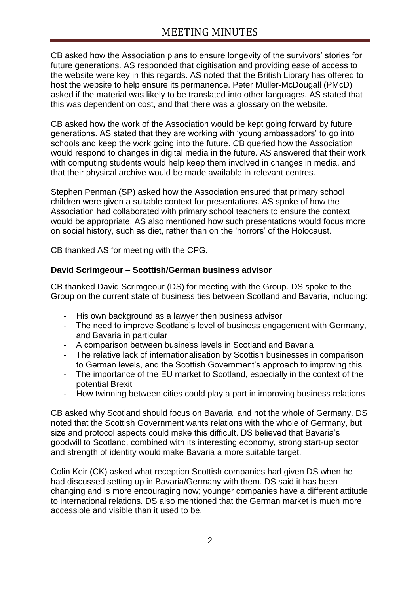CB asked how the Association plans to ensure longevity of the survivors' stories for future generations. AS responded that digitisation and providing ease of access to the website were key in this regards. AS noted that the British Library has offered to host the website to help ensure its permanence. Peter Müller-McDougall (PMcD) asked if the material was likely to be translated into other languages. AS stated that this was dependent on cost, and that there was a glossary on the website.

CB asked how the work of the Association would be kept going forward by future generations. AS stated that they are working with 'young ambassadors' to go into schools and keep the work going into the future. CB queried how the Association would respond to changes in digital media in the future. AS answered that their work with computing students would help keep them involved in changes in media, and that their physical archive would be made available in relevant centres.

Stephen Penman (SP) asked how the Association ensured that primary school children were given a suitable context for presentations. AS spoke of how the Association had collaborated with primary school teachers to ensure the context would be appropriate. AS also mentioned how such presentations would focus more on social history, such as diet, rather than on the 'horrors' of the Holocaust.

CB thanked AS for meeting with the CPG.

### **David Scrimgeour – Scottish/German business advisor**

CB thanked David Scrimgeour (DS) for meeting with the Group. DS spoke to the Group on the current state of business ties between Scotland and Bavaria, including:

- His own background as a lawyer then business advisor
- The need to improve Scotland's level of business engagement with Germany, and Bavaria in particular
- A comparison between business levels in Scotland and Bavaria
- The relative lack of internationalisation by Scottish businesses in comparison to German levels, and the Scottish Government's approach to improving this
- The importance of the EU market to Scotland, especially in the context of the potential Brexit
- How twinning between cities could play a part in improving business relations

CB asked why Scotland should focus on Bavaria, and not the whole of Germany. DS noted that the Scottish Government wants relations with the whole of Germany, but size and protocol aspects could make this difficult. DS believed that Bavaria's goodwill to Scotland, combined with its interesting economy, strong start-up sector and strength of identity would make Bavaria a more suitable target.

Colin Keir (CK) asked what reception Scottish companies had given DS when he had discussed setting up in Bavaria/Germany with them. DS said it has been changing and is more encouraging now; younger companies have a different attitude to international relations. DS also mentioned that the German market is much more accessible and visible than it used to be.